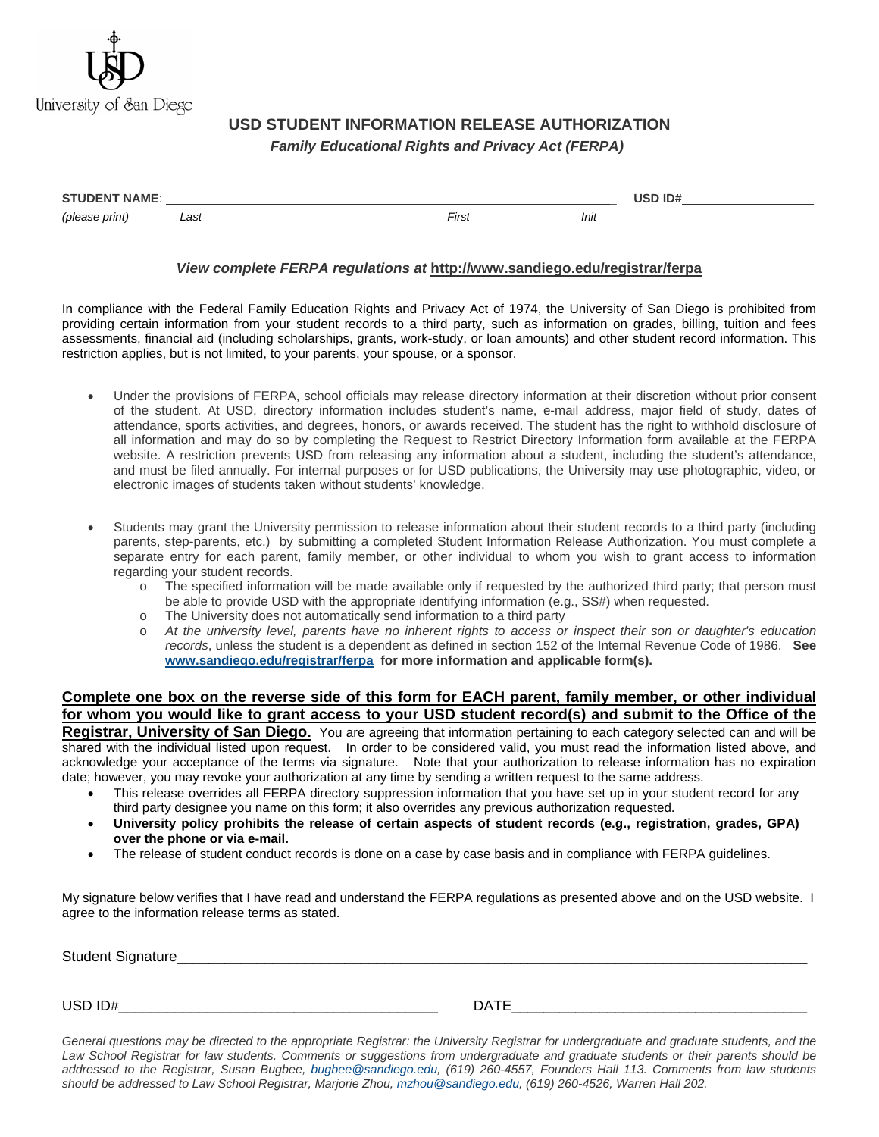

## **USD STUDENT INFORMATION RELEASE AUTHORIZATION**   *Family Educational Rights and Privacy Act (FERPA)*

| <b>STUDENT NAME:</b> |      |       | USD ID# |  |
|----------------------|------|-------|---------|--|
| (please print)       | Last | First | Init    |  |

## *View complete FERPA regulations at* **http://www.sandiego.edu/registrar/ferpa**

In compliance with the Federal Family Education Rights and Privacy Act of 1974, the University of San Diego is prohibited from providing certain information from your student records to a third party, such as information on grades, billing, tuition and fees assessments, financial aid (including scholarships, grants, work-study, or loan amounts) and other student record information. This restriction applies, but is not limited, to your parents, your spouse, or a sponsor.

- Under the provisions of FERPA, school officials may release directory information at their discretion without prior consent of the student. At USD, directory information includes student's name, e-mail address, major field of study, dates of attendance, sports activities, and degrees, honors, or awards received. The student has the right to withhold disclosure of all information and may do so by completing the Request to Restrict Directory Information form available at the FERPA website. A restriction prevents USD from releasing any information about a student, including the student's attendance, and must be filed annually. For internal purposes or for USD publications, the University may use photographic, video, or electronic images of students taken without students' knowledge.
- Students may grant the University permission to release information about their student records to a third party (including parents, step-parents, etc.) by submitting a completed Student Information Release Authorization. You must complete a separate entry for each parent, family member, or other individual to whom you wish to grant access to information regarding your student records.
	- o The specified information will be made available only if requested by the authorized third party; that person must be able to provide USD with the appropriate identifying information (e.g., SS#) when requested.
	- o The University does not automatically send information to a third party
	- o *At the university level, parents have no inherent rights to access or inspect their son or daughter's education records*, unless the student is a dependent as defined in section 152 of the Internal Revenue Code of 1986. **See [www.sandiego.edu/registrar/ferpa](http://www.sandiego.edu/registrar/ferpa/) for more information and applicable form(s).**

## **Complete one box on the reverse side of this form for EACH parent, family member, or other individual for whom you would like to grant access to your USD student record(s) and submit to the Office of the**

**Registrar, University of San Diego.** You are agreeing that information pertaining to each category selected can and will be shared with the individual listed upon request. In order to be considered valid, you must read the information listed above, and acknowledge your acceptance of the terms via signature. Note that your authorization to release information has no expiration date; however, you may revoke your authorization at any time by sending a written request to the same address.

- This release overrides all FERPA directory suppression information that you have set up in your student record for any third party designee you name on this form; it also overrides any previous authorization requested.
- **University policy prohibits the release of certain aspects of student records (e.g., registration, grades, GPA) over the phone or via e-mail.**
- The release of student conduct records is done on a case by case basis and in compliance with FERPA guidelines.

My signature below verifies that I have read and understand the FERPA regulations as presented above and on the USD website. I agree to the information release terms as stated.

Student Signature

USD ID# $\blacksquare$ 

*General questions may be directed to the appropriate Registrar: the University Registrar for undergraduate and graduate students, and the Law School Registrar for law students. Comments or suggestions from undergraduate and graduate students or their parents should be addressed to the Registrar, Susan Bugbee, [bugbee@sandiego.edu,](mailto:bugbee@sandiego.edu) (619) 260-4557, Founders Hall 113. Comments from law students should be addressed to Law School Registrar, Marjorie Zhou, [mzhou@sandiego.edu,](mailto:mzhou@sandiego.edu) (619) 260-4526, Warren Hall 202.*